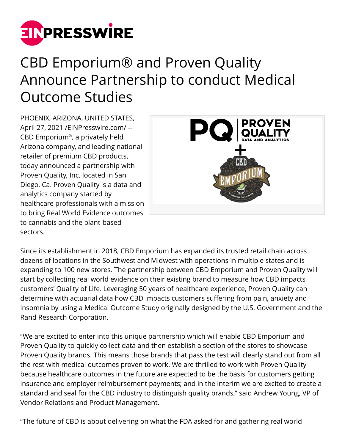

## CBD Emporium® and Proven Quality Announce Partnership to conduct Medical Outcome Studies

PHOENIX, ARIZONA, UNITED STATES, April 27, 2021 /[EINPresswire.com/](http://www.einpresswire.com) -- CBD Emporium® , a privately held Arizona company, and leading national retailer of premium CBD products, today announced a partnership with Proven Quality, Inc. located in San Diego, Ca. Proven Quality is a data and analytics company started by healthcare professionals with a mission to bring Real World Evidence outcomes to cannabis and the plant-based sectors.



Since its establishment in 2018, CBD Emporium has expanded its trusted retail chain across dozens of locations in the Southwest and Midwest with operations in multiple states and is expanding to 100 new stores. The partnership between CBD Emporium and Proven Quality will start by collecting real world evidence on their existing brand to measure how CBD impacts customers' Quality of Life. Leveraging 50 years of healthcare experience, Proven Quality can determine with actuarial data how CBD impacts customers suffering from pain, anxiety and insomnia by using a Medical Outcome Study originally designed by the U.S. Government and the Rand Research Corporation.

"We are excited to enter into this unique partnership which will enable CBD Emporium and Proven Quality to quickly collect data and then establish a section of the stores to showcase Proven Quality brands. This means those brands that pass the test will clearly stand out from all the rest with medical outcomes proven to work. We are thrilled to work with Proven Quality because healthcare outcomes in the future are expected to be the basis for customers getting insurance and employer reimbursement payments; and in the interim we are excited to create a standard and seal for the CBD industry to distinguish quality brands," said Andrew Young, VP of Vendor Relations and Product Management.

"The future of CBD is about delivering on what the FDA asked for and gathering real world